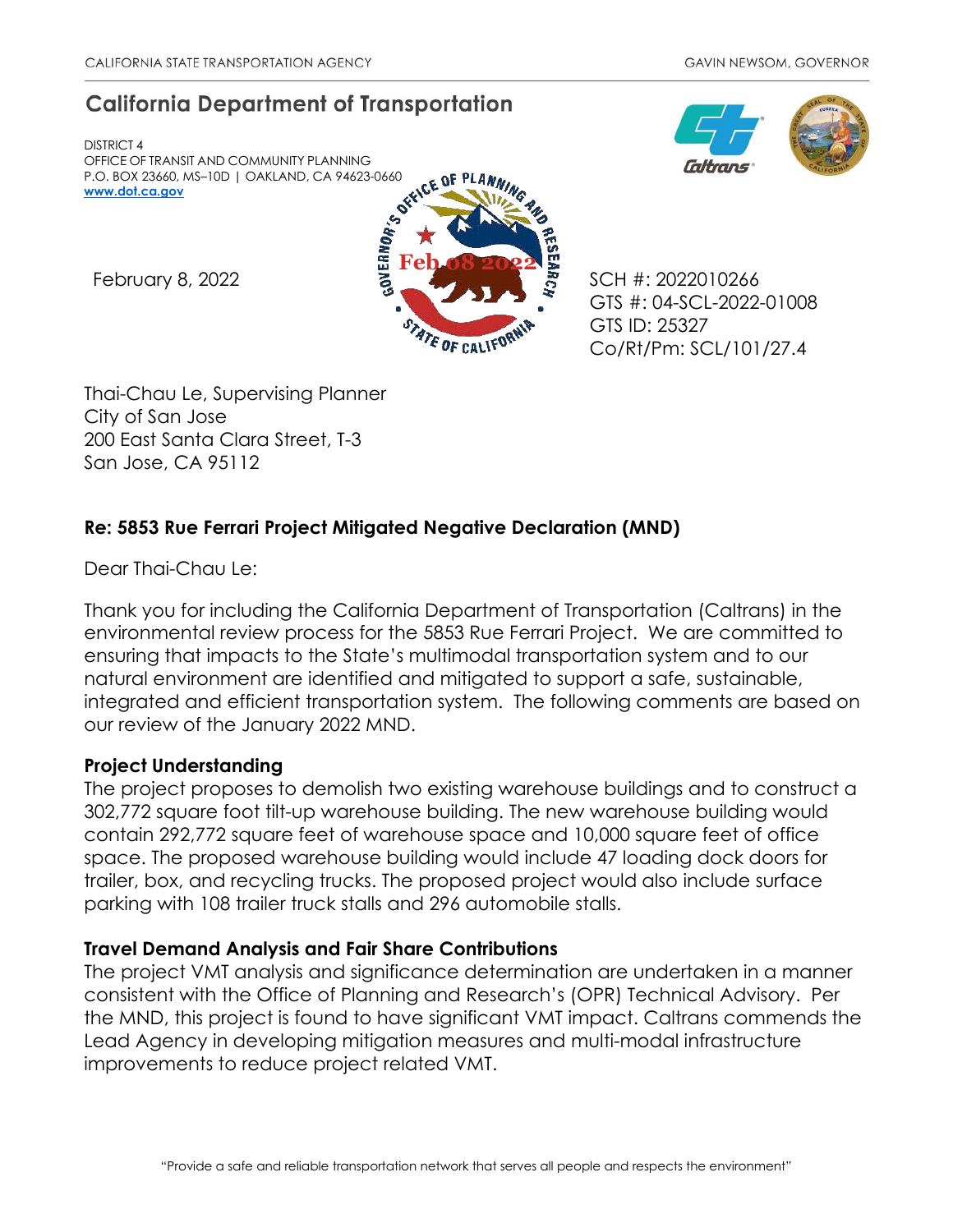# **California Department of Transportation**

DISTRICT 4 OFFICE OF TRANSIT AND COMMUNITY PLANNING P.O. BOX 23660, MS–10D | OAKLAND, CA 94623-0660 **[www.dot.ca.gov](http://www.dot.ca.gov/)**



GTS #: 04-SCL-2022-01008 GTS ID: 25327 Co/Rt/Pm: SCL/101/27.4

Thai-Chau Le, Supervising Planner City of San Jose 200 East Santa Clara Street, T-3 San Jose, CA 95112

## **Re: 5853 Rue Ferrari Project Mitigated Negative Declaration (MND)**

Dear Thai-Chau Le:

Thank you for including the California Department of Transportation (Caltrans) in the environmental review process for the 5853 Rue Ferrari Project. We are committed to ensuring that impacts to the State's multimodal transportation system and to our natural environment are identified and mitigated to support a safe, sustainable, integrated and efficient transportation system. The following comments are based on our review of the January 2022 MND.

#### **Project Understanding**

The project proposes to demolish two existing warehouse buildings and to construct a 302,772 square foot tilt-up warehouse building. The new warehouse building would contain 292,772 square feet of warehouse space and 10,000 square feet of office space. The proposed warehouse building would include 47 loading dock doors for trailer, box, and recycling trucks. The proposed project would also include surface parking with 108 trailer truck stalls and 296 automobile stalls.

## **Travel Demand Analysis and Fair Share Contributions**

The project VMT analysis and significance determination are undertaken in a manner consistent with the Office of Planning and Research's (OPR) Technical Advisory. Per the MND, this project is found to have significant VMT impact. Caltrans commends the Lead Agency in developing mitigation measures and multi-modal infrastructure improvements to reduce project related VMT.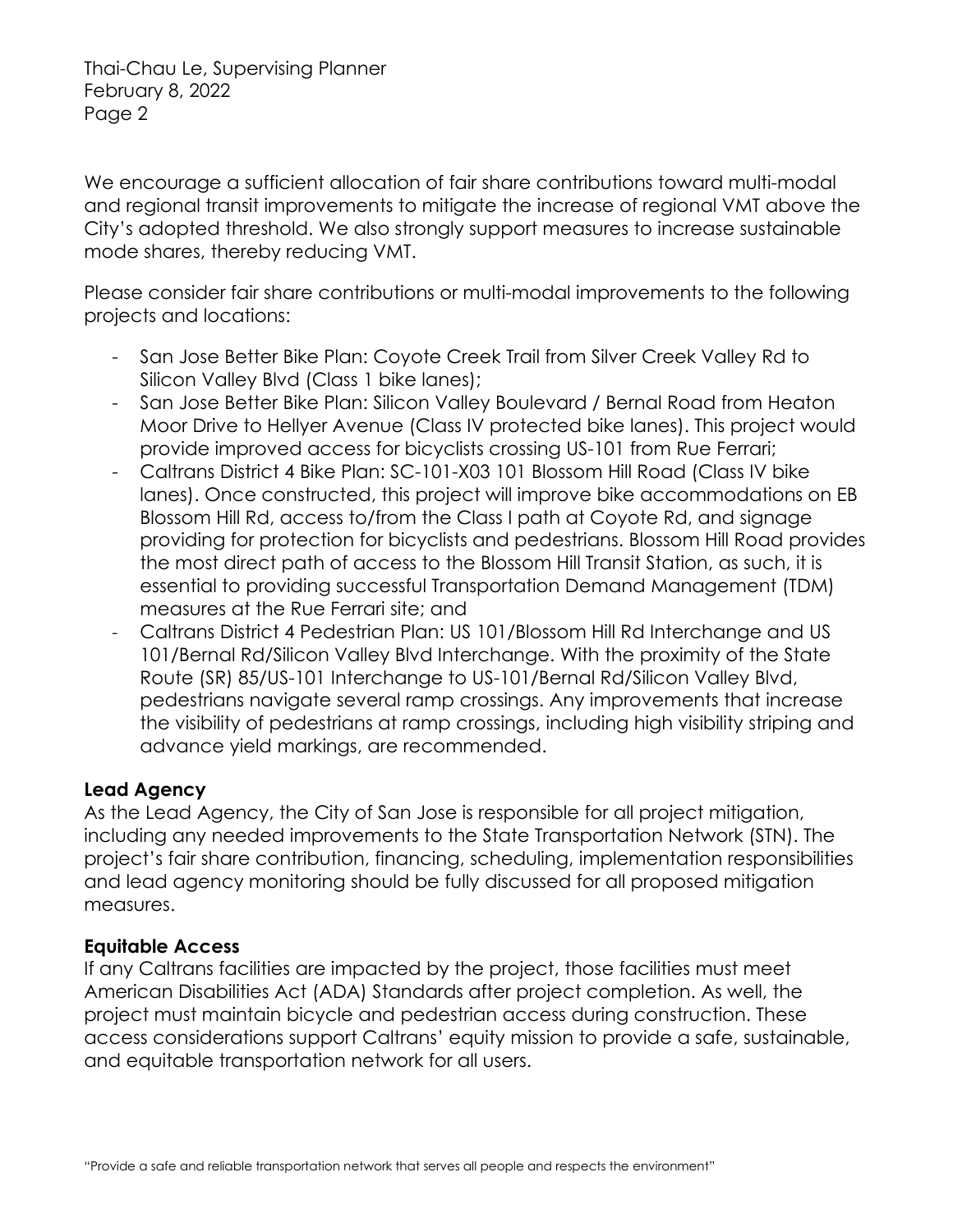Thai-Chau Le, Supervising Planner February 8, 2022 Page 2

We encourage a sufficient allocation of fair share contributions toward multi-modal and regional transit improvements to mitigate the increase of regional VMT above the City's adopted threshold. We also strongly support measures to increase sustainable mode shares, thereby reducing VMT.

Please consider fair share contributions or multi-modal improvements to the following projects and locations:

- San Jose Better Bike Plan: Coyote Creek Trail from Silver Creek Valley Rd to Silicon Valley Blvd (Class 1 bike lanes);
- San Jose Better Bike Plan: Silicon Valley Boulevard / Bernal Road from Heaton Moor Drive to Hellyer Avenue (Class IV protected bike lanes). This project would provide improved access for bicyclists crossing US-101 from Rue Ferrari;
- Caltrans District 4 Bike Plan: SC-101-X03 101 Blossom Hill Road (Class IV bike lanes). Once constructed, this project will improve bike accommodations on EB Blossom Hill Rd, access to/from the Class I path at Coyote Rd, and signage providing for protection for bicyclists and pedestrians. Blossom Hill Road provides the most direct path of access to the Blossom Hill Transit Station, as such, it is essential to providing successful Transportation Demand Management (TDM) measures at the Rue Ferrari site; and
- Caltrans District 4 Pedestrian Plan: US 101/Blossom Hill Rd Interchange and US 101/Bernal Rd/Silicon Valley Blvd Interchange. With the proximity of the State Route (SR) 85/US-101 Interchange to US-101/Bernal Rd/Silicon Valley Blvd, pedestrians navigate several ramp crossings. Any improvements that increase the visibility of pedestrians at ramp crossings, including high visibility striping and advance yield markings, are recommended.

#### **Lead Agency**

As the Lead Agency, the City of San Jose is responsible for all project mitigation, including any needed improvements to the State Transportation Network (STN). The project's fair share contribution, financing, scheduling, implementation responsibilities and lead agency monitoring should be fully discussed for all proposed mitigation measures.

## **Equitable Access**

If any Caltrans facilities are impacted by the project, those facilities must meet American Disabilities Act (ADA) Standards after project completion. As well, the project must maintain bicycle and pedestrian access during construction. These access considerations support Caltrans' equity mission to provide a safe, sustainable, and equitable transportation network for all users.